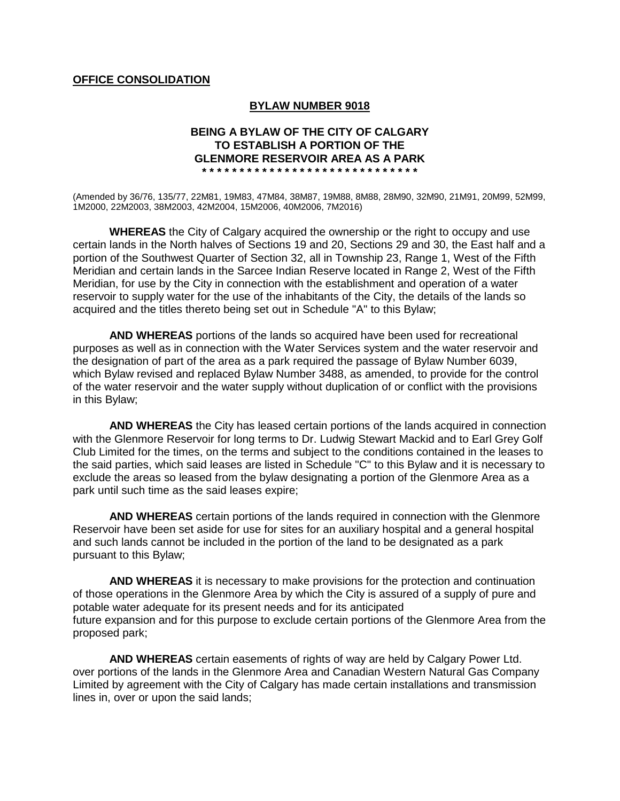## **OFFICE CONSOLIDATION**

#### **BYLAW NUMBER 9018**

#### **BEING A BYLAW OF THE CITY OF CALGARY TO ESTABLISH A PORTION OF THE GLENMORE RESERVOIR AREA AS A PARK \* \* \* \* \* \* \* \* \* \* \* \* \* \* \* \* \* \* \* \* \* \* \* \* \* \* \* \* \***

(Amended by 36/76, 135/77, 22M81, 19M83, 47M84, 38M87, 19M88, 8M88, 28M90, 32M90, 21M91, 20M99, 52M99, 1M2000, 22M2003, 38M2003, 42M2004, 15M2006, 40M2006, 7M2016)

**WHEREAS** the City of Calgary acquired the ownership or the right to occupy and use certain lands in the North halves of Sections 19 and 20, Sections 29 and 30, the East half and a portion of the Southwest Quarter of Section 32, all in Township 23, Range 1, West of the Fifth Meridian and certain lands in the Sarcee Indian Reserve located in Range 2, West of the Fifth Meridian, for use by the City in connection with the establishment and operation of a water reservoir to supply water for the use of the inhabitants of the City, the details of the lands so acquired and the titles thereto being set out in Schedule "A" to this Bylaw;

**AND WHEREAS** portions of the lands so acquired have been used for recreational purposes as well as in connection with the Water Services system and the water reservoir and the designation of part of the area as a park required the passage of Bylaw Number 6039, which Bylaw revised and replaced Bylaw Number 3488, as amended, to provide for the control of the water reservoir and the water supply without duplication of or conflict with the provisions in this Bylaw;

**AND WHEREAS** the City has leased certain portions of the lands acquired in connection with the Glenmore Reservoir for long terms to Dr. Ludwig Stewart Mackid and to Earl Grey Golf Club Limited for the times, on the terms and subject to the conditions contained in the leases to the said parties, which said leases are listed in Schedule "C" to this Bylaw and it is necessary to exclude the areas so leased from the bylaw designating a portion of the Glenmore Area as a park until such time as the said leases expire;

**AND WHEREAS** certain portions of the lands required in connection with the Glenmore Reservoir have been set aside for use for sites for an auxiliary hospital and a general hospital and such lands cannot be included in the portion of the land to be designated as a park pursuant to this Bylaw;

**AND WHEREAS** it is necessary to make provisions for the protection and continuation of those operations in the Glenmore Area by which the City is assured of a supply of pure and potable water adequate for its present needs and for its anticipated future expansion and for this purpose to exclude certain portions of the Glenmore Area from the proposed park;

**AND WHEREAS** certain easements of rights of way are held by Calgary Power Ltd. over portions of the lands in the Glenmore Area and Canadian Western Natural Gas Company Limited by agreement with the City of Calgary has made certain installations and transmission lines in, over or upon the said lands;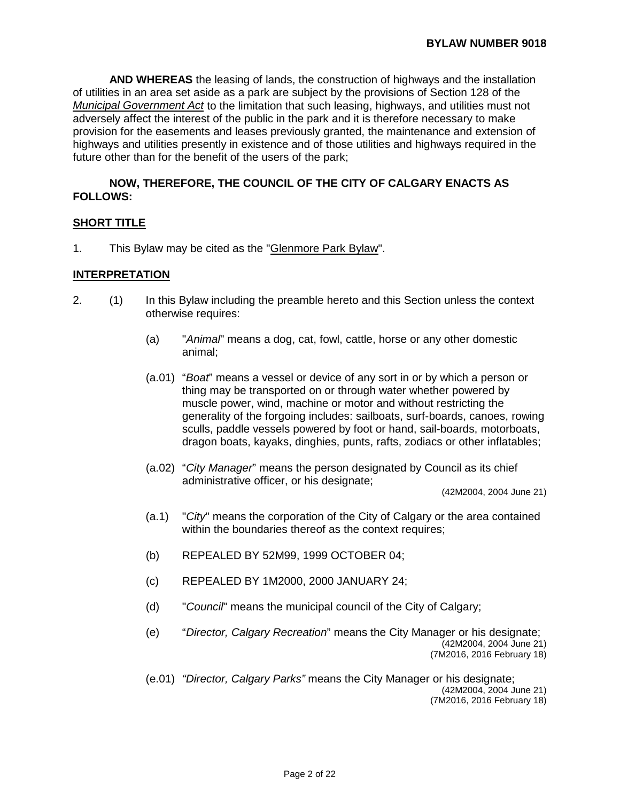**AND WHEREAS** the leasing of lands, the construction of highways and the installation of utilities in an area set aside as a park are subject by the provisions of Section 128 of the *Municipal Government Act* to the limitation that such leasing, highways, and utilities must not adversely affect the interest of the public in the park and it is therefore necessary to make provision for the easements and leases previously granted, the maintenance and extension of highways and utilities presently in existence and of those utilities and highways required in the future other than for the benefit of the users of the park;

### **NOW, THEREFORE, THE COUNCIL OF THE CITY OF CALGARY ENACTS AS FOLLOWS:**

### **SHORT TITLE**

1. This Bylaw may be cited as the "Glenmore Park Bylaw".

#### **INTERPRETATION**

- 2. (1) In this Bylaw including the preamble hereto and this Section unless the context otherwise requires:
	- (a) "*Animal*" means a dog, cat, fowl, cattle, horse or any other domestic animal;
	- (a.01) "*Boat*" means a vessel or device of any sort in or by which a person or thing may be transported on or through water whether powered by muscle power, wind, machine or motor and without restricting the generality of the forgoing includes: sailboats, surf-boards, canoes, rowing sculls, paddle vessels powered by foot or hand, sail-boards, motorboats, dragon boats, kayaks, dinghies, punts, rafts, zodiacs or other inflatables;
	- (a.02) "*City Manager*" means the person designated by Council as its chief administrative officer, or his designate;

(42M2004, 2004 June 21)

- (a.1) "*City*" means the corporation of the City of Calgary or the area contained within the boundaries thereof as the context requires;
- (b) REPEALED BY 52M99, 1999 OCTOBER 04;
- (c) REPEALED BY 1M2000, 2000 JANUARY 24;
- (d) "*Council*" means the municipal council of the City of Calgary;
- (e) "*Director, Calgary Recreation*" means the City Manager or his designate; (42M2004, 2004 June 21) (7M2016, 2016 February 18)
- (e.01) *"Director, Calgary Parks"* means the City Manager or his designate; (42M2004, 2004 June 21) (7M2016, 2016 February 18)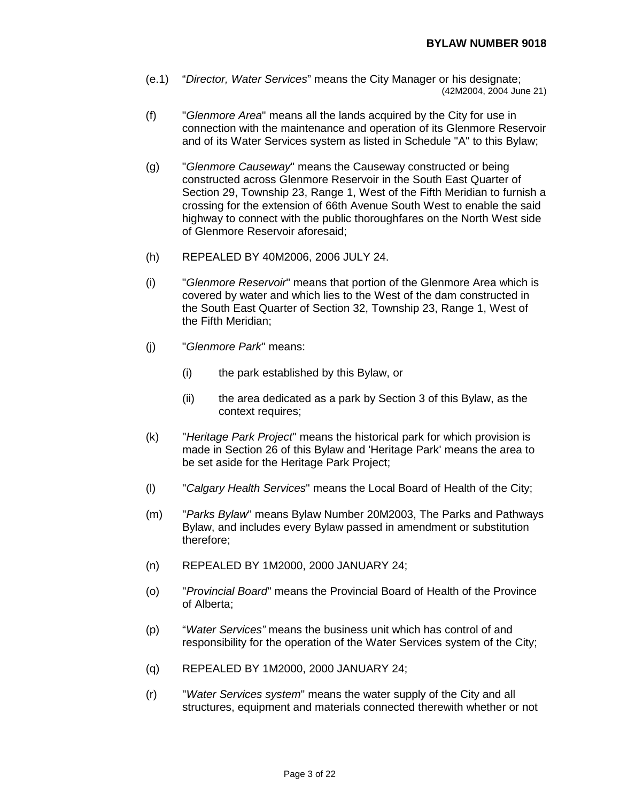- (e.1) "*Director, Water Services*" means the City Manager or his designate; (42M2004, 2004 June 21)
- (f) "*Glenmore Area*" means all the lands acquired by the City for use in connection with the maintenance and operation of its Glenmore Reservoir and of its Water Services system as listed in Schedule "A" to this Bylaw;
- (g) "*Glenmore Causeway*" means the Causeway constructed or being constructed across Glenmore Reservoir in the South East Quarter of Section 29, Township 23, Range 1, West of the Fifth Meridian to furnish a crossing for the extension of 66th Avenue South West to enable the said highway to connect with the public thoroughfares on the North West side of Glenmore Reservoir aforesaid;
- (h) REPEALED BY 40M2006, 2006 JULY 24.
- (i) "*Glenmore Reservoir*" means that portion of the Glenmore Area which is covered by water and which lies to the West of the dam constructed in the South East Quarter of Section 32, Township 23, Range 1, West of the Fifth Meridian;
- (j) "*Glenmore Park*" means:
	- (i) the park established by this Bylaw, or
	- (ii) the area dedicated as a park by Section 3 of this Bylaw, as the context requires;
- (k) "*Heritage Park Project*" means the historical park for which provision is made in Section 26 of this Bylaw and 'Heritage Park' means the area to be set aside for the Heritage Park Project;
- (l) "*Calgary Health Services*" means the Local Board of Health of the City;
- (m) "*Parks Bylaw*" means Bylaw Number 20M2003, The Parks and Pathways Bylaw, and includes every Bylaw passed in amendment or substitution therefore;
- (n) REPEALED BY 1M2000, 2000 JANUARY 24;
- (o) "*Provincial Board*" means the Provincial Board of Health of the Province of Alberta;
- (p) "*Water Services"* means the business unit which has control of and responsibility for the operation of the Water Services system of the City;
- (q) REPEALED BY 1M2000, 2000 JANUARY 24;
- (r) "*Water Services system*" means the water supply of the City and all structures, equipment and materials connected therewith whether or not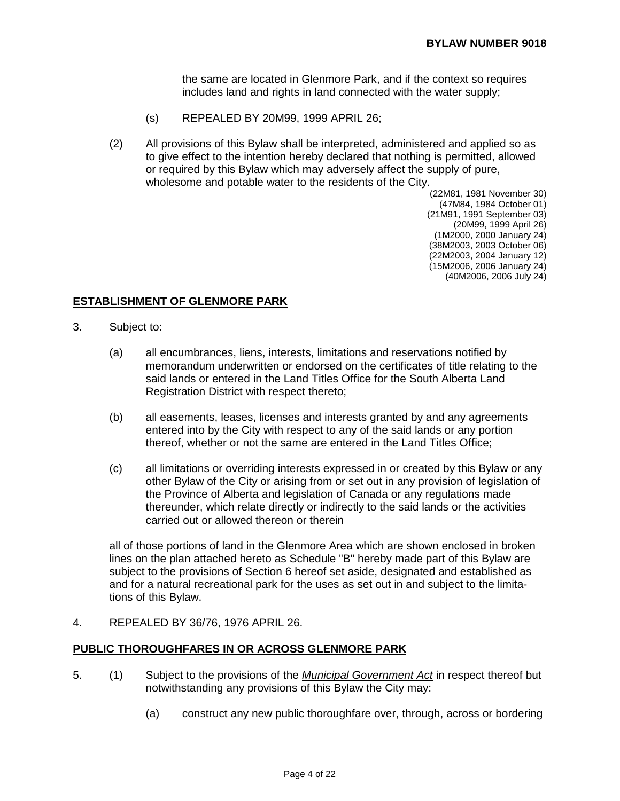the same are located in Glenmore Park, and if the context so requires includes land and rights in land connected with the water supply;

- (s) REPEALED BY 20M99, 1999 APRIL 26;
- (2) All provisions of this Bylaw shall be interpreted, administered and applied so as to give effect to the intention hereby declared that nothing is permitted, allowed or required by this Bylaw which may adversely affect the supply of pure, wholesome and potable water to the residents of the City.

(22M81, 1981 November 30) (47M84, 1984 October 01) (21M91, 1991 September 03) (20M99, 1999 April 26) (1M2000, 2000 January 24) (38M2003, 2003 October 06) (22M2003, 2004 January 12) (15M2006, 2006 January 24) (40M2006, 2006 July 24)

## **ESTABLISHMENT OF GLENMORE PARK**

- 3. Subject to:
	- (a) all encumbrances, liens, interests, limitations and reservations notified by memorandum underwritten or endorsed on the certificates of title relating to the said lands or entered in the Land Titles Office for the South Alberta Land Registration District with respect thereto;
	- (b) all easements, leases, licenses and interests granted by and any agreements entered into by the City with respect to any of the said lands or any portion thereof, whether or not the same are entered in the Land Titles Office;
	- (c) all limitations or overriding interests expressed in or created by this Bylaw or any other Bylaw of the City or arising from or set out in any provision of legislation of the Province of Alberta and legislation of Canada or any regulations made thereunder, which relate directly or indirectly to the said lands or the activities carried out or allowed thereon or therein

all of those portions of land in the Glenmore Area which are shown enclosed in broken lines on the plan attached hereto as Schedule "B" hereby made part of this Bylaw are subject to the provisions of Section 6 hereof set aside, designated and established as and for a natural recreational park for the uses as set out in and subject to the limitations of this Bylaw.

4. REPEALED BY 36/76, 1976 APRIL 26.

### **PUBLIC THOROUGHFARES IN OR ACROSS GLENMORE PARK**

- 5. (1) Subject to the provisions of the *Municipal Government Act* in respect thereof but notwithstanding any provisions of this Bylaw the City may:
	- (a) construct any new public thoroughfare over, through, across or bordering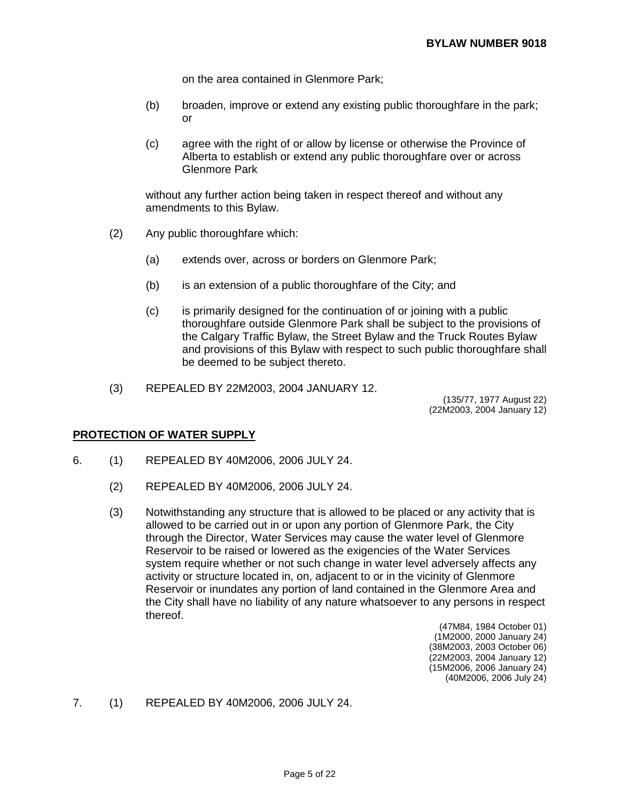on the area contained in Glenmore Park;

- (b) broaden, improve or extend any existing public thoroughfare in the park; or
- (c) agree with the right of or allow by license or otherwise the Province of Alberta to establish or extend any public thoroughfare over or across Glenmore Park

without any further action being taken in respect thereof and without any amendments to this Bylaw.

- (2) Any public thoroughfare which:
	- (a) extends over, across or borders on Glenmore Park;
	- (b) is an extension of a public thoroughfare of the City; and
	- (c) is primarily designed for the continuation of or joining with a public thoroughfare outside Glenmore Park shall be subject to the provisions of the Calgary Traffic Bylaw, the Street Bylaw and the Truck Routes Bylaw and provisions of this Bylaw with respect to such public thoroughfare shall be deemed to be subject thereto.
- (3) REPEALED BY 22M2003, 2004 JANUARY 12.

(135/77, 1977 August 22) (22M2003, 2004 January 12)

#### **PROTECTION OF WATER SUPPLY**

- 6. (1) REPEALED BY 40M2006, 2006 JULY 24.
	- (2) REPEALED BY 40M2006, 2006 JULY 24.
	- (3) Notwithstanding any structure that is allowed to be placed or any activity that is allowed to be carried out in or upon any portion of Glenmore Park, the City through the Director, Water Services may cause the water level of Glenmore Reservoir to be raised or lowered as the exigencies of the Water Services system require whether or not such change in water level adversely affects any activity or structure located in, on, adjacent to or in the vicinity of Glenmore Reservoir or inundates any portion of land contained in the Glenmore Area and the City shall have no liability of any nature whatsoever to any persons in respect thereof.
		- (47M84, 1984 October 01) (1M2000, 2000 January 24) (38M2003, 2003 October 06) (22M2003, 2004 January 12) (15M2006, 2006 January 24) (40M2006, 2006 July 24)
- 7. (1) REPEALED BY 40M2006, 2006 JULY 24.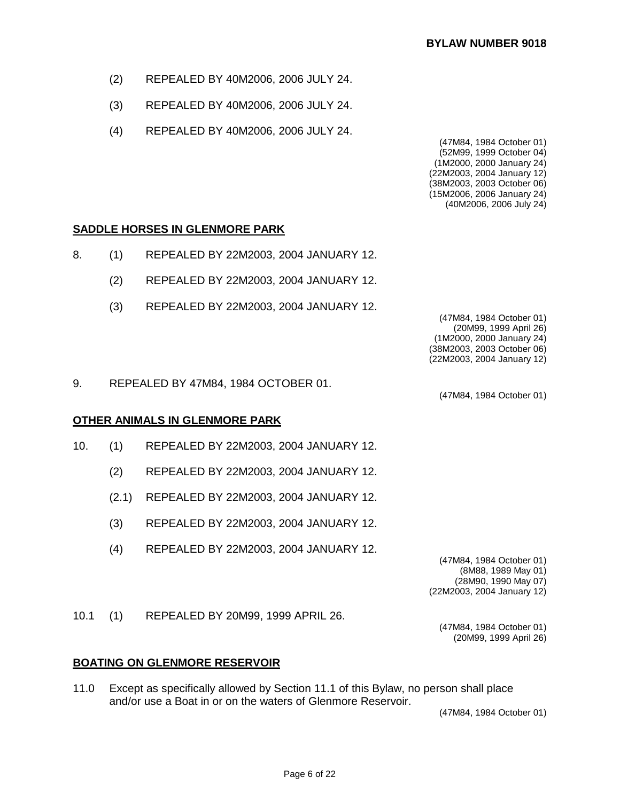- (2) REPEALED BY 40M2006, 2006 JULY 24.
- (3) REPEALED BY 40M2006, 2006 JULY 24.
- (4) REPEALED BY 40M2006, 2006 JULY 24.

(47M84, 1984 October 01) (52M99, 1999 October 04) (1M2000, 2000 January 24) (22M2003, 2004 January 12) (38M2003, 2003 October 06) (15M2006, 2006 January 24) (40M2006, 2006 July 24)

## **SADDLE HORSES IN GLENMORE PARK**

- 8. (1) REPEALED BY 22M2003, 2004 JANUARY 12.
	- (2) REPEALED BY 22M2003, 2004 JANUARY 12.
	- (3) REPEALED BY 22M2003, 2004 JANUARY 12.

(47M84, 1984 October 01) (20M99, 1999 April 26) (1M2000, 2000 January 24) (38M2003, 2003 October 06) (22M2003, 2004 January 12)

(47M84, 1984 October 01)

9. REPEALED BY 47M84, 1984 OCTOBER 01.

### **OTHER ANIMALS IN GLENMORE PARK**

- 10. (1) REPEALED BY 22M2003, 2004 JANUARY 12.
	- (2) REPEALED BY 22M2003, 2004 JANUARY 12.
	- (2.1) REPEALED BY 22M2003, 2004 JANUARY 12.
	- (3) REPEALED BY 22M2003, 2004 JANUARY 12.
	- (4) REPEALED BY 22M2003, 2004 JANUARY 12.

(47M84, 1984 October 01) (8M88, 1989 May 01) (28M90, 1990 May 07) (22M2003, 2004 January 12)

> (47M84, 1984 October 01) (20M99, 1999 April 26)

10.1 (1) REPEALED BY 20M99, 1999 APRIL 26.

**BOATING ON GLENMORE RESERVOIR**

11.0 Except as specifically allowed by Section 11.1 of this Bylaw, no person shall place and/or use a Boat in or on the waters of Glenmore Reservoir.

(47M84, 1984 October 01)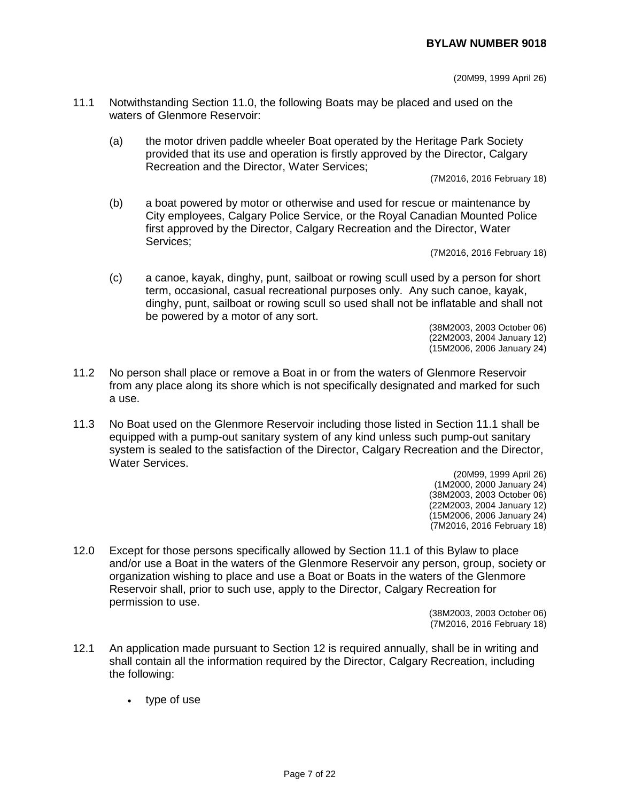## **BYLAW NUMBER 9018**

(20M99, 1999 April 26)

- 11.1 Notwithstanding Section 11.0, the following Boats may be placed and used on the waters of Glenmore Reservoir:
	- (a) the motor driven paddle wheeler Boat operated by the Heritage Park Society provided that its use and operation is firstly approved by the Director, Calgary Recreation and the Director, Water Services;

(7M2016, 2016 February 18)

(b) a boat powered by motor or otherwise and used for rescue or maintenance by City employees, Calgary Police Service, or the Royal Canadian Mounted Police first approved by the Director, Calgary Recreation and the Director, Water Services;

(7M2016, 2016 February 18)

(c) a canoe, kayak, dinghy, punt, sailboat or rowing scull used by a person for short term, occasional, casual recreational purposes only. Any such canoe, kayak, dinghy, punt, sailboat or rowing scull so used shall not be inflatable and shall not be powered by a motor of any sort.

(38M2003, 2003 October 06) (22M2003, 2004 January 12) (15M2006, 2006 January 24)

- 11.2 No person shall place or remove a Boat in or from the waters of Glenmore Reservoir from any place along its shore which is not specifically designated and marked for such a use.
- 11.3 No Boat used on the Glenmore Reservoir including those listed in Section 11.1 shall be equipped with a pump-out sanitary system of any kind unless such pump-out sanitary system is sealed to the satisfaction of the Director, Calgary Recreation and the Director, Water Services.

(20M99, 1999 April 26) (1M2000, 2000 January 24) (38M2003, 2003 October 06) (22M2003, 2004 January 12) (15M2006, 2006 January 24) (7M2016, 2016 February 18)

12.0 Except for those persons specifically allowed by Section 11.1 of this Bylaw to place and/or use a Boat in the waters of the Glenmore Reservoir any person, group, society or organization wishing to place and use a Boat or Boats in the waters of the Glenmore Reservoir shall, prior to such use, apply to the Director, Calgary Recreation for permission to use.

(38M2003, 2003 October 06) (7M2016, 2016 February 18)

- 12.1 An application made pursuant to Section 12 is required annually, shall be in writing and shall contain all the information required by the Director, Calgary Recreation, including the following:
	- type of use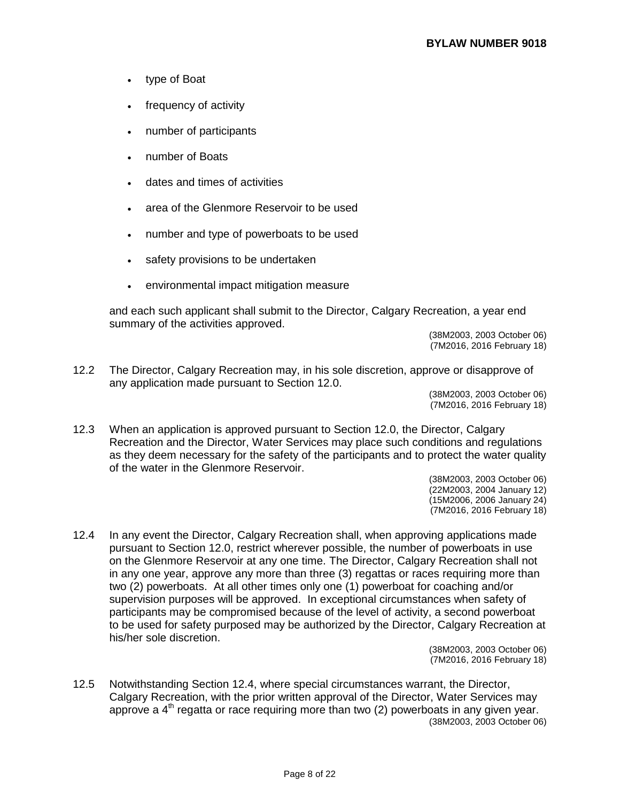- type of Boat
- frequency of activity
- number of participants
- number of Boats
- dates and times of activities
- area of the Glenmore Reservoir to be used
- number and type of powerboats to be used
- safety provisions to be undertaken
- environmental impact mitigation measure

and each such applicant shall submit to the Director, Calgary Recreation, a year end summary of the activities approved.

(38M2003, 2003 October 06) (7M2016, 2016 February 18)

12.2 The Director, Calgary Recreation may, in his sole discretion, approve or disapprove of any application made pursuant to Section 12.0.

(38M2003, 2003 October 06) (7M2016, 2016 February 18)

12.3 When an application is approved pursuant to Section 12.0, the Director, Calgary Recreation and the Director, Water Services may place such conditions and regulations as they deem necessary for the safety of the participants and to protect the water quality of the water in the Glenmore Reservoir.

> (38M2003, 2003 October 06) (22M2003, 2004 January 12) (15M2006, 2006 January 24) (7M2016, 2016 February 18)

12.4 In any event the Director, Calgary Recreation shall, when approving applications made pursuant to Section 12.0, restrict wherever possible, the number of powerboats in use on the Glenmore Reservoir at any one time. The Director, Calgary Recreation shall not in any one year, approve any more than three (3) regattas or races requiring more than two (2) powerboats. At all other times only one (1) powerboat for coaching and/or supervision purposes will be approved. In exceptional circumstances when safety of participants may be compromised because of the level of activity, a second powerboat to be used for safety purposed may be authorized by the Director, Calgary Recreation at his/her sole discretion.

> (38M2003, 2003 October 06) (7M2016, 2016 February 18)

12.5 Notwithstanding Section 12.4, where special circumstances warrant, the Director, Calgary Recreation, with the prior written approval of the Director, Water Services may approve a  $4<sup>th</sup>$  regatta or race requiring more than two (2) powerboats in any given year. (38M2003, 2003 October 06)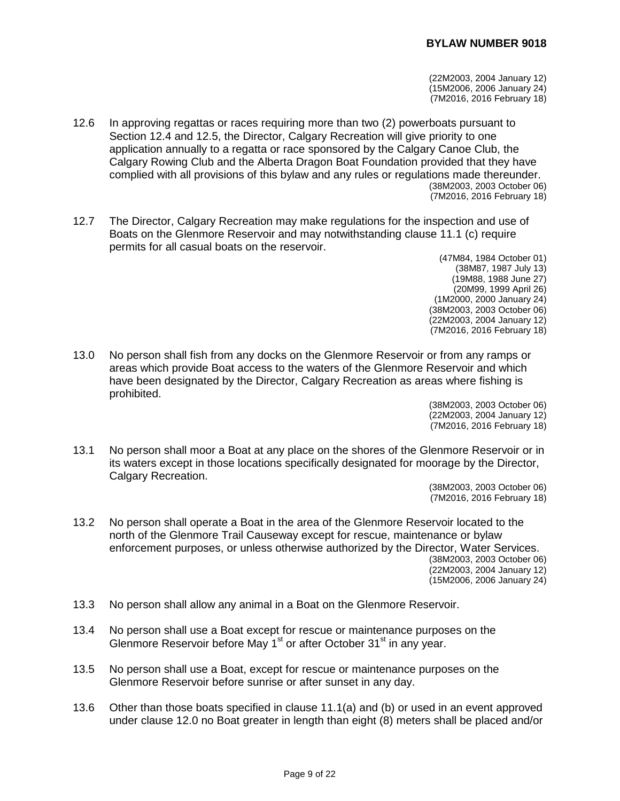(22M2003, 2004 January 12) (15M2006, 2006 January 24) (7M2016, 2016 February 18)

- 12.6 In approving regattas or races requiring more than two (2) powerboats pursuant to Section 12.4 and 12.5, the Director, Calgary Recreation will give priority to one application annually to a regatta or race sponsored by the Calgary Canoe Club, the Calgary Rowing Club and the Alberta Dragon Boat Foundation provided that they have complied with all provisions of this bylaw and any rules or regulations made thereunder. (38M2003, 2003 October 06) (7M2016, 2016 February 18)
- 12.7 The Director, Calgary Recreation may make regulations for the inspection and use of Boats on the Glenmore Reservoir and may notwithstanding clause 11.1 (c) require permits for all casual boats on the reservoir.
	- (47M84, 1984 October 01) (38M87, 1987 July 13) (19M88, 1988 June 27) (20M99, 1999 April 26) (1M2000, 2000 January 24) (38M2003, 2003 October 06) (22M2003, 2004 January 12) (7M2016, 2016 February 18)
- 13.0 No person shall fish from any docks on the Glenmore Reservoir or from any ramps or areas which provide Boat access to the waters of the Glenmore Reservoir and which have been designated by the Director, Calgary Recreation as areas where fishing is prohibited.

(38M2003, 2003 October 06) (22M2003, 2004 January 12) (7M2016, 2016 February 18)

13.1 No person shall moor a Boat at any place on the shores of the Glenmore Reservoir or in its waters except in those locations specifically designated for moorage by the Director, Calgary Recreation.

> (38M2003, 2003 October 06) (7M2016, 2016 February 18)

- 13.2 No person shall operate a Boat in the area of the Glenmore Reservoir located to the north of the Glenmore Trail Causeway except for rescue, maintenance or bylaw enforcement purposes, or unless otherwise authorized by the Director, Water Services. (38M2003, 2003 October 06) (22M2003, 2004 January 12) (15M2006, 2006 January 24)
- 13.3 No person shall allow any animal in a Boat on the Glenmore Reservoir.
- 13.4 No person shall use a Boat except for rescue or maintenance purposes on the Glenmore Reservoir before May  $1<sup>st</sup>$  or after October  $31<sup>st</sup>$  in any year.
- 13.5 No person shall use a Boat, except for rescue or maintenance purposes on the Glenmore Reservoir before sunrise or after sunset in any day.
- 13.6 Other than those boats specified in clause 11.1(a) and (b) or used in an event approved under clause 12.0 no Boat greater in length than eight (8) meters shall be placed and/or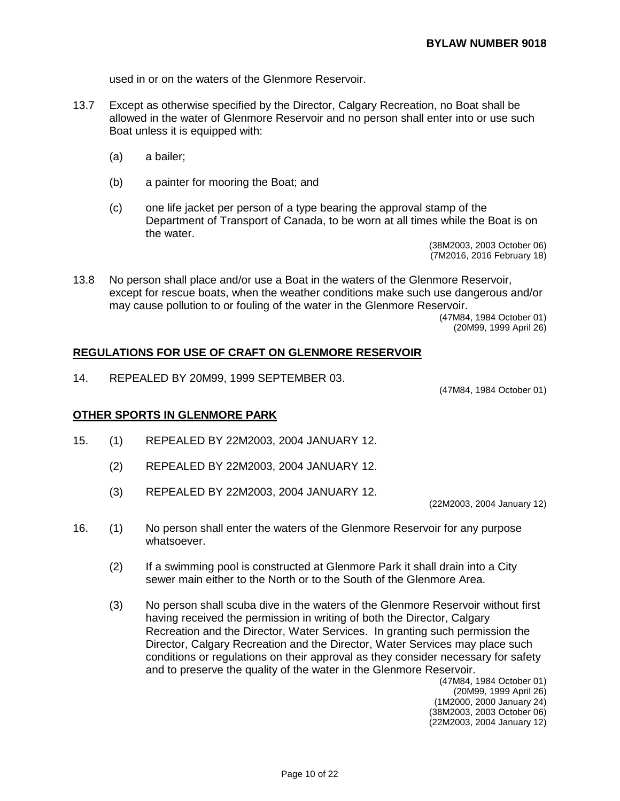used in or on the waters of the Glenmore Reservoir.

- 13.7 Except as otherwise specified by the Director, Calgary Recreation, no Boat shall be allowed in the water of Glenmore Reservoir and no person shall enter into or use such Boat unless it is equipped with:
	- (a) a bailer;
	- (b) a painter for mooring the Boat; and
	- (c) one life jacket per person of a type bearing the approval stamp of the Department of Transport of Canada, to be worn at all times while the Boat is on the water.

(38M2003, 2003 October 06) (7M2016, 2016 February 18)

13.8 No person shall place and/or use a Boat in the waters of the Glenmore Reservoir, except for rescue boats, when the weather conditions make such use dangerous and/or may cause pollution to or fouling of the water in the Glenmore Reservoir.

> (47M84, 1984 October 01) (20M99, 1999 April 26)

#### **REGULATIONS FOR USE OF CRAFT ON GLENMORE RESERVOIR**

14. REPEALED BY 20M99, 1999 SEPTEMBER 03.

(47M84, 1984 October 01)

#### **OTHER SPORTS IN GLENMORE PARK**

- 15. (1) REPEALED BY 22M2003, 2004 JANUARY 12.
	- (2) REPEALED BY 22M2003, 2004 JANUARY 12.
	- (3) REPEALED BY 22M2003, 2004 JANUARY 12.

(22M2003, 2004 January 12)

- 16. (1) No person shall enter the waters of the Glenmore Reservoir for any purpose whatsoever.
	- (2) If a swimming pool is constructed at Glenmore Park it shall drain into a City sewer main either to the North or to the South of the Glenmore Area.
	- (3) No person shall scuba dive in the waters of the Glenmore Reservoir without first having received the permission in writing of both the Director, Calgary Recreation and the Director, Water Services. In granting such permission the Director, Calgary Recreation and the Director, Water Services may place such conditions or regulations on their approval as they consider necessary for safety and to preserve the quality of the water in the Glenmore Reservoir.

(47M84, 1984 October 01) (20M99, 1999 April 26) (1M2000, 2000 January 24) (38M2003, 2003 October 06) (22M2003, 2004 January 12)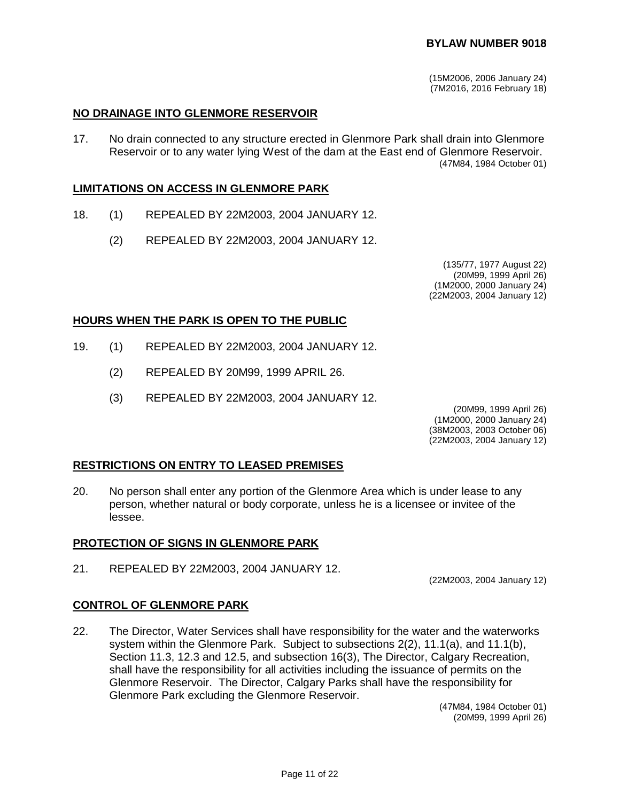(15M2006, 2006 January 24) (7M2016, 2016 February 18)

### **NO DRAINAGE INTO GLENMORE RESERVOIR**

17. No drain connected to any structure erected in Glenmore Park shall drain into Glenmore Reservoir or to any water lying West of the dam at the East end of Glenmore Reservoir. (47M84, 1984 October 01)

#### **LIMITATIONS ON ACCESS IN GLENMORE PARK**

- 18. (1) REPEALED BY 22M2003, 2004 JANUARY 12.
	- (2) REPEALED BY 22M2003, 2004 JANUARY 12.

(135/77, 1977 August 22) (20M99, 1999 April 26) (1M2000, 2000 January 24) (22M2003, 2004 January 12)

#### **HOURS WHEN THE PARK IS OPEN TO THE PUBLIC**

- 19. (1) REPEALED BY 22M2003, 2004 JANUARY 12.
	- (2) REPEALED BY 20M99, 1999 APRIL 26.
	- (3) REPEALED BY 22M2003, 2004 JANUARY 12.

(20M99, 1999 April 26) (1M2000, 2000 January 24)

(38M2003, 2003 October 06)

(22M2003, 2004 January 12)

#### **RESTRICTIONS ON ENTRY TO LEASED PREMISES**

20. No person shall enter any portion of the Glenmore Area which is under lease to any person, whether natural or body corporate, unless he is a licensee or invitee of the lessee.

#### **PROTECTION OF SIGNS IN GLENMORE PARK**

21. REPEALED BY 22M2003, 2004 JANUARY 12.

(22M2003, 2004 January 12)

#### **CONTROL OF GLENMORE PARK**

22. The Director, Water Services shall have responsibility for the water and the waterworks system within the Glenmore Park. Subject to subsections 2(2), 11.1(a), and 11.1(b), Section 11.3, 12.3 and 12.5, and subsection 16(3), The Director, Calgary Recreation, shall have the responsibility for all activities including the issuance of permits on the Glenmore Reservoir. The Director, Calgary Parks shall have the responsibility for Glenmore Park excluding the Glenmore Reservoir.

(47M84, 1984 October 01) (20M99, 1999 April 26)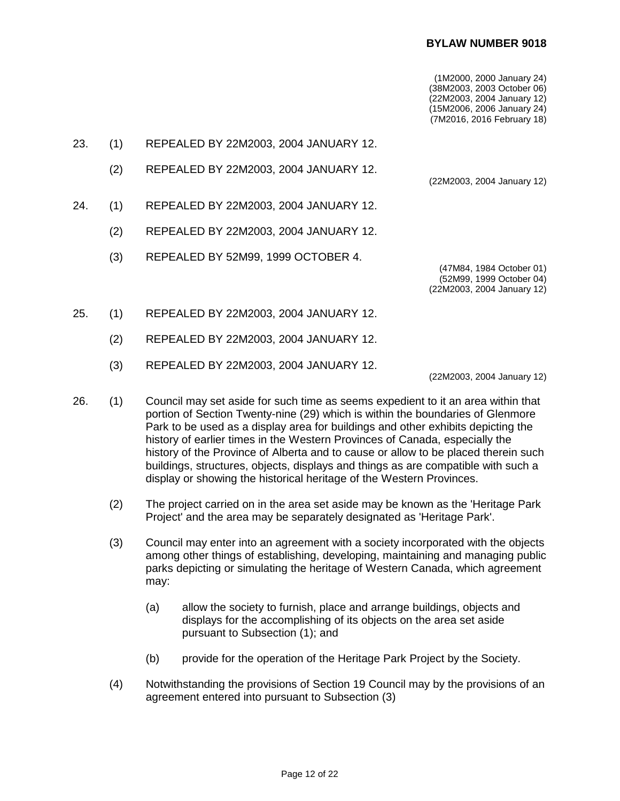### **BYLAW NUMBER 9018**

(1M2000, 2000 January 24) (38M2003, 2003 October 06) (22M2003, 2004 January 12) (15M2006, 2006 January 24) (7M2016, 2016 February 18)

(22M2003, 2004 January 12)

- 23. (1) REPEALED BY 22M2003, 2004 JANUARY 12.
	- (2) REPEALED BY 22M2003, 2004 JANUARY 12.
- 24. (1) REPEALED BY 22M2003, 2004 JANUARY 12.
	- (2) REPEALED BY 22M2003, 2004 JANUARY 12.
	- (3) REPEALED BY 52M99, 1999 OCTOBER 4.

(47M84, 1984 October 01) (52M99, 1999 October 04) (22M2003, 2004 January 12)

- 25. (1) REPEALED BY 22M2003, 2004 JANUARY 12.
	- (2) REPEALED BY 22M2003, 2004 JANUARY 12.
	- (3) REPEALED BY 22M2003, 2004 JANUARY 12.

(22M2003, 2004 January 12)

- 26. (1) Council may set aside for such time as seems expedient to it an area within that portion of Section Twenty-nine (29) which is within the boundaries of Glenmore Park to be used as a display area for buildings and other exhibits depicting the history of earlier times in the Western Provinces of Canada, especially the history of the Province of Alberta and to cause or allow to be placed therein such buildings, structures, objects, displays and things as are compatible with such a display or showing the historical heritage of the Western Provinces.
	- (2) The project carried on in the area set aside may be known as the 'Heritage Park Project' and the area may be separately designated as 'Heritage Park'.
	- (3) Council may enter into an agreement with a society incorporated with the objects among other things of establishing, developing, maintaining and managing public parks depicting or simulating the heritage of Western Canada, which agreement may:
		- (a) allow the society to furnish, place and arrange buildings, objects and displays for the accomplishing of its objects on the area set aside pursuant to Subsection (1); and
		- (b) provide for the operation of the Heritage Park Project by the Society.
	- (4) Notwithstanding the provisions of Section 19 Council may by the provisions of an agreement entered into pursuant to Subsection (3)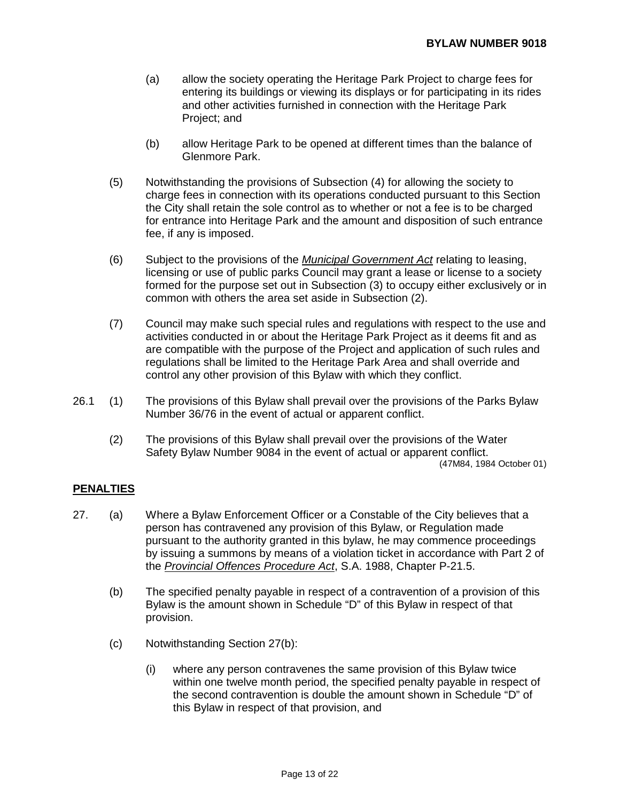- (a) allow the society operating the Heritage Park Project to charge fees for entering its buildings or viewing its displays or for participating in its rides and other activities furnished in connection with the Heritage Park Project; and
- (b) allow Heritage Park to be opened at different times than the balance of Glenmore Park.
- (5) Notwithstanding the provisions of Subsection (4) for allowing the society to charge fees in connection with its operations conducted pursuant to this Section the City shall retain the sole control as to whether or not a fee is to be charged for entrance into Heritage Park and the amount and disposition of such entrance fee, if any is imposed.
- (6) Subject to the provisions of the *Municipal Government Act* relating to leasing, licensing or use of public parks Council may grant a lease or license to a society formed for the purpose set out in Subsection (3) to occupy either exclusively or in common with others the area set aside in Subsection (2).
- (7) Council may make such special rules and regulations with respect to the use and activities conducted in or about the Heritage Park Project as it deems fit and as are compatible with the purpose of the Project and application of such rules and regulations shall be limited to the Heritage Park Area and shall override and control any other provision of this Bylaw with which they conflict.
- 26.1 (1) The provisions of this Bylaw shall prevail over the provisions of the Parks Bylaw Number 36/76 in the event of actual or apparent conflict.
	- (2) The provisions of this Bylaw shall prevail over the provisions of the Water Safety Bylaw Number 9084 in the event of actual or apparent conflict. (47M84, 1984 October 01)

### **PENALTIES**

- 27. (a) Where a Bylaw Enforcement Officer or a Constable of the City believes that a person has contravened any provision of this Bylaw, or Regulation made pursuant to the authority granted in this bylaw, he may commence proceedings by issuing a summons by means of a violation ticket in accordance with Part 2 of the *Provincial Offences Procedure Act*, S.A. 1988, Chapter P-21.5.
	- (b) The specified penalty payable in respect of a contravention of a provision of this Bylaw is the amount shown in Schedule "D" of this Bylaw in respect of that provision.
	- (c) Notwithstanding Section 27(b):
		- (i) where any person contravenes the same provision of this Bylaw twice within one twelve month period, the specified penalty payable in respect of the second contravention is double the amount shown in Schedule "D" of this Bylaw in respect of that provision, and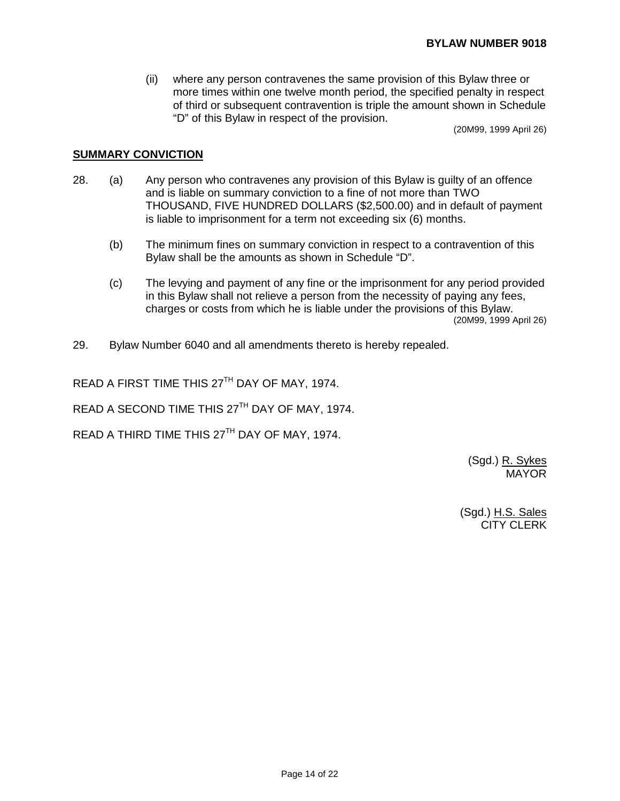(ii) where any person contravenes the same provision of this Bylaw three or more times within one twelve month period, the specified penalty in respect of third or subsequent contravention is triple the amount shown in Schedule "D" of this Bylaw in respect of the provision.

(20M99, 1999 April 26)

### **SUMMARY CONVICTION**

- 28. (a) Any person who contravenes any provision of this Bylaw is guilty of an offence and is liable on summary conviction to a fine of not more than TWO THOUSAND, FIVE HUNDRED DOLLARS (\$2,500.00) and in default of payment is liable to imprisonment for a term not exceeding six (6) months.
	- (b) The minimum fines on summary conviction in respect to a contravention of this Bylaw shall be the amounts as shown in Schedule "D".
	- (c) The levying and payment of any fine or the imprisonment for any period provided in this Bylaw shall not relieve a person from the necessity of paying any fees, charges or costs from which he is liable under the provisions of this Bylaw. (20M99, 1999 April 26)
- 29. Bylaw Number 6040 and all amendments thereto is hereby repealed.

READ A FIRST TIME THIS 27TH DAY OF MAY, 1974.

READ A SECOND TIME THIS 27<sup>TH</sup> DAY OF MAY, 1974.

READ A THIRD TIME THIS 27<sup>TH</sup> DAY OF MAY, 1974.

(Sgd.) R. Sykes MAYOR

(Sgd.) H.S. Sales CITY CLERK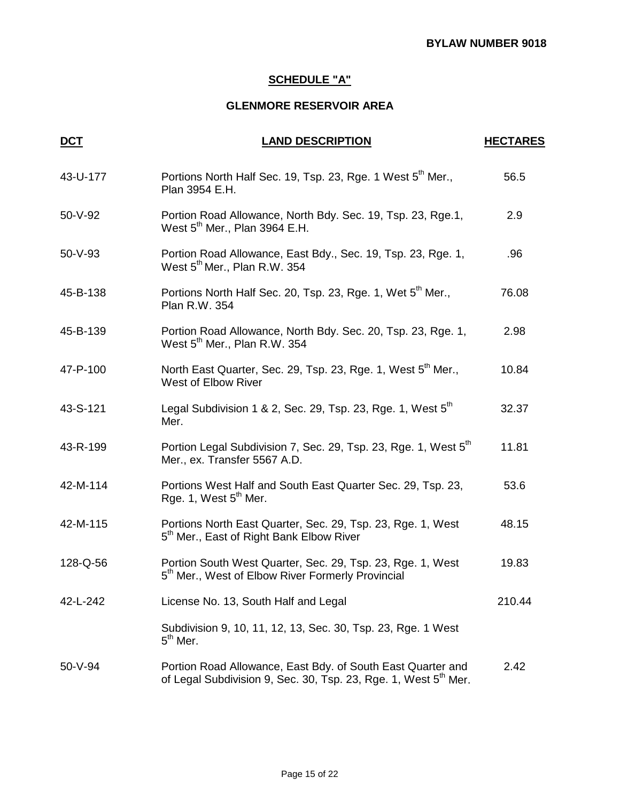# **SCHEDULE "A"**

## **GLENMORE RESERVOIR AREA**

| <u>DCT</u> | <b>LAND DESCRIPTION</b>                                                                                                                    | <b>HECTARES</b> |
|------------|--------------------------------------------------------------------------------------------------------------------------------------------|-----------------|
| 43-U-177   | Portions North Half Sec. 19, Tsp. 23, Rge. 1 West 5 <sup>th</sup> Mer.,<br>Plan 3954 E.H.                                                  | 56.5            |
| 50-V-92    | Portion Road Allowance, North Bdy. Sec. 19, Tsp. 23, Rge.1,<br>West $5th$ Mer., Plan 3964 E.H.                                             | 2.9             |
| 50-V-93    | Portion Road Allowance, East Bdy., Sec. 19, Tsp. 23, Rge. 1,<br>West 5 <sup>th</sup> Mer., Plan R.W. 354                                   | .96             |
| 45-B-138   | Portions North Half Sec. 20, Tsp. 23, Rge. 1, Wet 5 <sup>th</sup> Mer.,<br>Plan R.W. 354                                                   | 76.08           |
| 45-B-139   | Portion Road Allowance, North Bdy. Sec. 20, Tsp. 23, Rge. 1,<br>West 5 <sup>th</sup> Mer., Plan R.W. 354                                   | 2.98            |
| 47-P-100   | North East Quarter, Sec. 29, Tsp. 23, Rge. 1, West 5 <sup>th</sup> Mer.,<br>West of Elbow River                                            | 10.84           |
| 43-S-121   | Legal Subdivision 1 & 2, Sec. 29, Tsp. 23, Rge. 1, West 5 <sup>th</sup><br>Mer.                                                            | 32.37           |
| 43-R-199   | Portion Legal Subdivision 7, Sec. 29, Tsp. 23, Rge. 1, West 5 <sup>th</sup><br>Mer., ex. Transfer 5567 A.D.                                | 11.81           |
| 42-M-114   | Portions West Half and South East Quarter Sec. 29, Tsp. 23,<br>Rge. 1, West 5 <sup>th</sup> Mer.                                           | 53.6            |
| 42-M-115   | Portions North East Quarter, Sec. 29, Tsp. 23, Rge. 1, West<br>5 <sup>th</sup> Mer., East of Right Bank Elbow River                        | 48.15           |
| 128-Q-56   | Portion South West Quarter, Sec. 29, Tsp. 23, Rge. 1, West<br>5 <sup>th</sup> Mer., West of Elbow River Formerly Provincial                | 19.83           |
| 42-L-242   | License No. 13, South Half and Legal                                                                                                       | 210.44          |
|            | Subdivision 9, 10, 11, 12, 13, Sec. 30, Tsp. 23, Rge. 1 West<br>$5th$ Mer.                                                                 |                 |
| 50-V-94    | Portion Road Allowance, East Bdy. of South East Quarter and<br>of Legal Subdivision 9, Sec. 30, Tsp. 23, Rge. 1, West 5 <sup>th</sup> Mer. | 2.42            |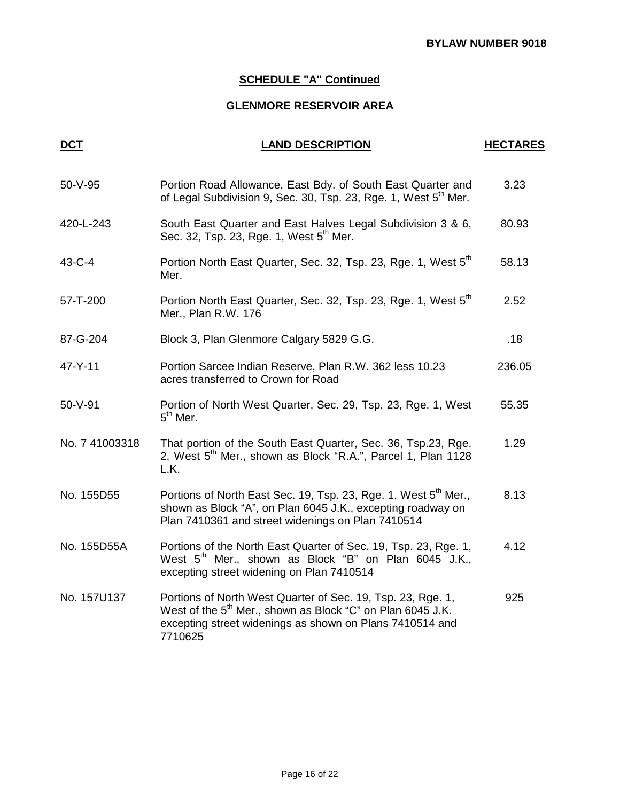# **SCHEDULE "A" Continued**

## **GLENMORE RESERVOIR AREA**

| <b>DCT</b>     | <b>LAND DESCRIPTION</b>                                                                                                                                                                                      | <b>HECTARES</b> |
|----------------|--------------------------------------------------------------------------------------------------------------------------------------------------------------------------------------------------------------|-----------------|
| 50-V-95        | Portion Road Allowance, East Bdy. of South East Quarter and<br>of Legal Subdivision 9, Sec. 30, Tsp. 23, Rge. 1, West 5 <sup>th</sup> Mer.                                                                   | 3.23            |
| 420-L-243      | South East Quarter and East Halves Legal Subdivision 3 & 6,<br>Sec. 32, Tsp. 23, Rge. 1, West 5 <sup>th</sup> Mer.                                                                                           | 80.93           |
| 43-C-4         | Portion North East Quarter, Sec. 32, Tsp. 23, Rge. 1, West 5 <sup>th</sup><br>Mer.                                                                                                                           | 58.13           |
| 57-T-200       | Portion North East Quarter, Sec. 32, Tsp. 23, Rge. 1, West 5 <sup>th</sup><br>Mer., Plan R.W. 176                                                                                                            | 2.52            |
| 87-G-204       | Block 3, Plan Glenmore Calgary 5829 G.G.                                                                                                                                                                     | .18             |
| 47-Y-11        | Portion Sarcee Indian Reserve, Plan R.W. 362 less 10.23<br>acres transferred to Crown for Road                                                                                                               | 236.05          |
| $50 - V - 91$  | Portion of North West Quarter, Sec. 29, Tsp. 23, Rge. 1, West<br>$5th$ Mer.                                                                                                                                  | 55.35           |
| No. 7 41003318 | That portion of the South East Quarter, Sec. 36, Tsp.23, Rge.<br>2, West 5 <sup>th</sup> Mer., shown as Block "R.A.", Parcel 1, Plan 1128<br>L.K.                                                            | 1.29            |
| No. 155D55     | Portions of North East Sec. 19, Tsp. 23, Rge. 1, West 5 <sup>th</sup> Mer.,<br>shown as Block "A", on Plan 6045 J.K., excepting roadway on<br>Plan 7410361 and street widenings on Plan 7410514              | 8.13            |
| No. 155D55A    | Portions of the North East Quarter of Sec. 19, Tsp. 23, Rge. 1,<br>West 5 <sup>th</sup> Mer., shown as Block "B" on Plan 6045 J.K.,<br>excepting street widening on Plan 7410514                             | 4.12            |
| No. 157U137    | Portions of North West Quarter of Sec. 19, Tsp. 23, Rge. 1,<br>West of the 5 <sup>th</sup> Mer., shown as Block "C" on Plan 6045 J.K.<br>excepting street widenings as shown on Plans 7410514 and<br>7710625 | 925             |
|                |                                                                                                                                                                                                              |                 |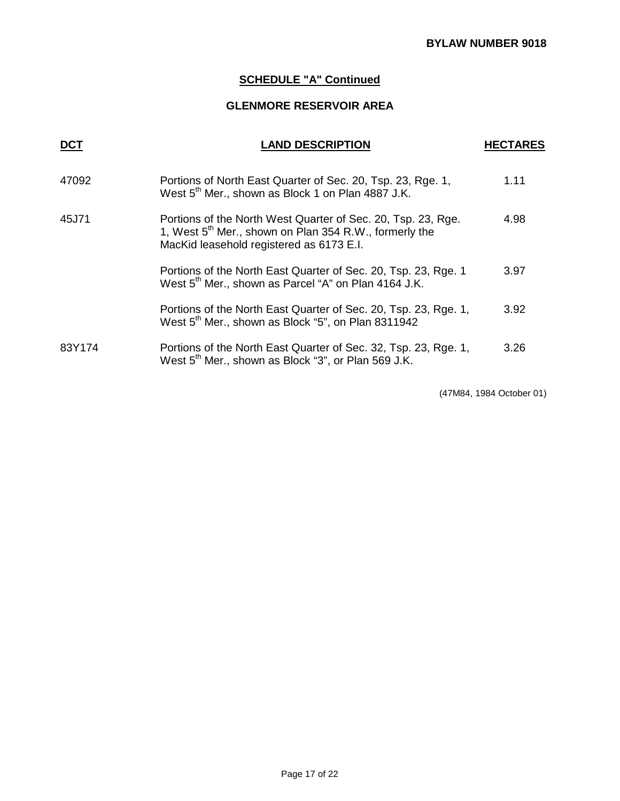# **SCHEDULE "A" Continued**

## **GLENMORE RESERVOIR AREA**

| DCT    | <b>LAND DESCRIPTION</b>                                                                                                                                                        | <b>HECTARES</b> |
|--------|--------------------------------------------------------------------------------------------------------------------------------------------------------------------------------|-----------------|
| 47092  | Portions of North East Quarter of Sec. 20, Tsp. 23, Rge. 1,<br>West 5 <sup>th</sup> Mer., shown as Block 1 on Plan 4887 J.K.                                                   | 1.11            |
| 45J71  | Portions of the North West Quarter of Sec. 20, Tsp. 23, Rge.<br>1, West 5 <sup>th</sup> Mer., shown on Plan 354 R.W., formerly the<br>MacKid leasehold registered as 6173 E.I. | 4.98            |
|        | Portions of the North East Quarter of Sec. 20, Tsp. 23, Rge. 1<br>West 5 <sup>th</sup> Mer., shown as Parcel "A" on Plan 4164 J.K.                                             | 3.97            |
|        | Portions of the North East Quarter of Sec. 20, Tsp. 23, Rge. 1,<br>West 5 <sup>th</sup> Mer., shown as Block "5", on Plan 8311942                                              | 3.92            |
| 83Y174 | Portions of the North East Quarter of Sec. 32, Tsp. 23, Rge. 1,<br>West 5 <sup>th</sup> Mer., shown as Block "3", or Plan 569 J.K.                                             | 3.26            |
|        |                                                                                                                                                                                |                 |

(47M84, 1984 October 01)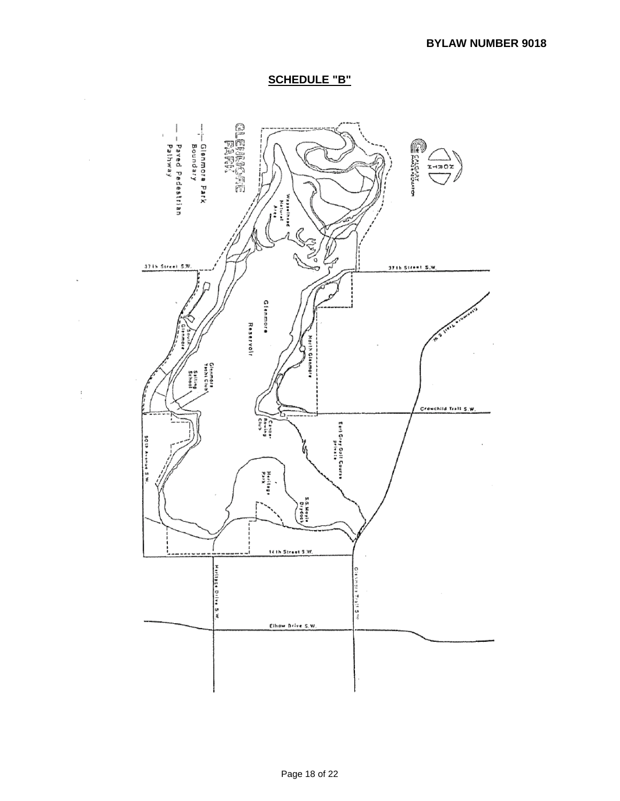## **SCHEDULE "B"**

 $\overline{\phantom{a}}$ 

 $\bar{z}$ 

 $\mathop{.}\limits^{\bullet}$ 

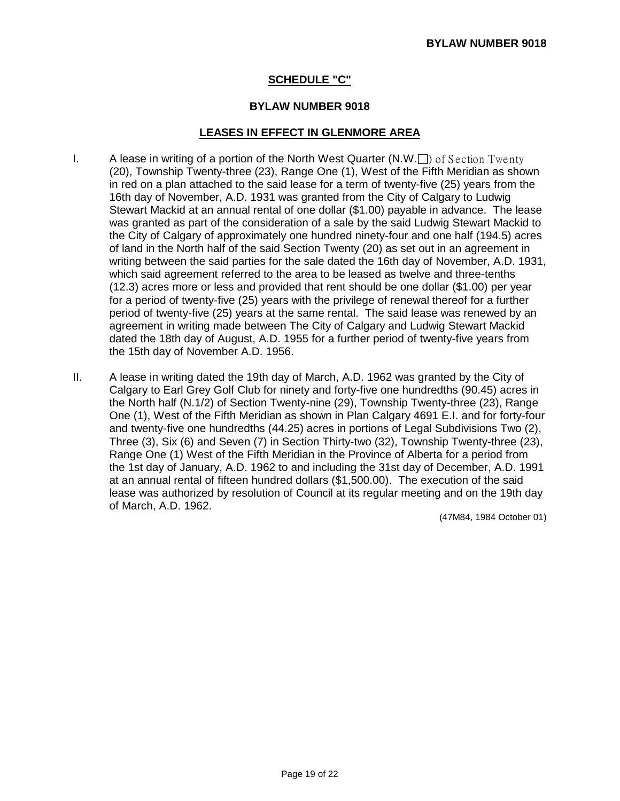## **SCHEDULE "C"**

### **BYLAW NUMBER 9018**

### **LEASES IN EFFECT IN GLENMORE AREA**

- I. A lease in writing of a portion of the North West Quarter  $(N.W.\Box)$  of Section Twenty (20), Township Twenty-three (23), Range One (1), West of the Fifth Meridian as shown in red on a plan attached to the said lease for a term of twenty-five (25) years from the 16th day of November, A.D. 1931 was granted from the City of Calgary to Ludwig Stewart Mackid at an annual rental of one dollar (\$1.00) payable in advance. The lease was granted as part of the consideration of a sale by the said Ludwig Stewart Mackid to the City of Calgary of approximately one hundred ninety-four and one half (194.5) acres of land in the North half of the said Section Twenty (20) as set out in an agreement in writing between the said parties for the sale dated the 16th day of November, A.D. 1931, which said agreement referred to the area to be leased as twelve and three-tenths (12.3) acres more or less and provided that rent should be one dollar (\$1.00) per year for a period of twenty-five (25) years with the privilege of renewal thereof for a further period of twenty-five (25) years at the same rental. The said lease was renewed by an agreement in writing made between The City of Calgary and Ludwig Stewart Mackid dated the 18th day of August, A.D. 1955 for a further period of twenty-five years from the 15th day of November A.D. 1956.
- II. A lease in writing dated the 19th day of March, A.D. 1962 was granted by the City of Calgary to Earl Grey Golf Club for ninety and forty-five one hundredths (90.45) acres in the North half (N.1/2) of Section Twenty-nine (29), Township Twenty-three (23), Range One (1), West of the Fifth Meridian as shown in Plan Calgary 4691 E.I. and for forty-four and twenty-five one hundredths (44.25) acres in portions of Legal Subdivisions Two (2), Three (3), Six (6) and Seven (7) in Section Thirty-two (32), Township Twenty-three (23), Range One (1) West of the Fifth Meridian in the Province of Alberta for a period from the 1st day of January, A.D. 1962 to and including the 31st day of December, A.D. 1991 at an annual rental of fifteen hundred dollars (\$1,500.00). The execution of the said lease was authorized by resolution of Council at its regular meeting and on the 19th day of March, A.D. 1962.

(47M84, 1984 October 01)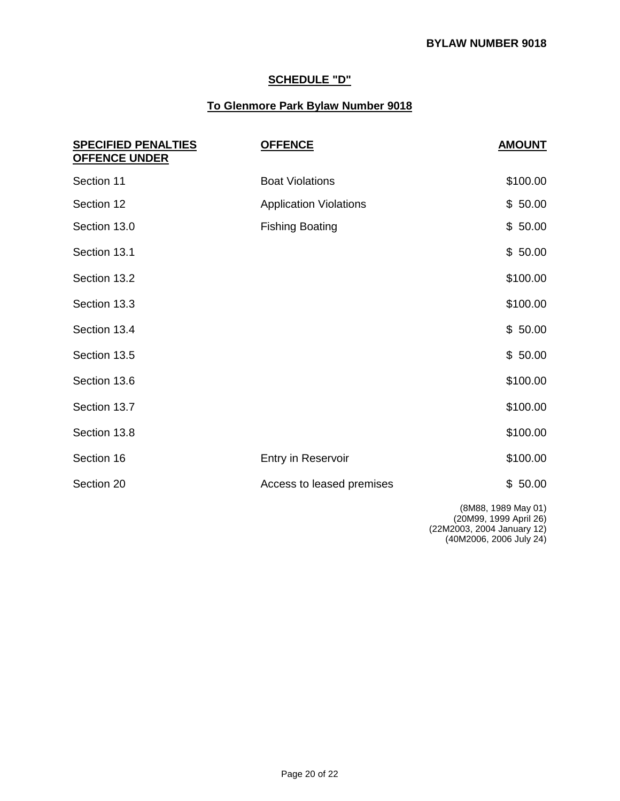# **SCHEDULE "D"**

## **To Glenmore Park Bylaw Number 9018**

| <b>SPECIFIED PENALTIES</b><br><b>OFFENCE UNDER</b> | <b>OFFENCE</b>                | <b>AMOUNT</b> |
|----------------------------------------------------|-------------------------------|---------------|
| Section 11                                         | <b>Boat Violations</b>        | \$100.00      |
| Section 12                                         | <b>Application Violations</b> | \$50.00       |
| Section 13.0                                       | <b>Fishing Boating</b>        | \$50.00       |
| Section 13.1                                       |                               | \$50.00       |
| Section 13.2                                       |                               | \$100.00      |
| Section 13.3                                       |                               | \$100.00      |
| Section 13.4                                       |                               | \$50.00       |
| Section 13.5                                       |                               | \$50.00       |
| Section 13.6                                       |                               | \$100.00      |
| Section 13.7                                       |                               | \$100.00      |
| Section 13.8                                       |                               | \$100.00      |
| Section 16                                         | Entry in Reservoir            | \$100.00      |
| Section 20                                         | Access to leased premises     | \$50.00       |
|                                                    |                               |               |

(8M88, 1989 May 01)

(20M99, 1999 April 26)

(22M2003, 2004 January 12)

(40M2006, 2006 July 24)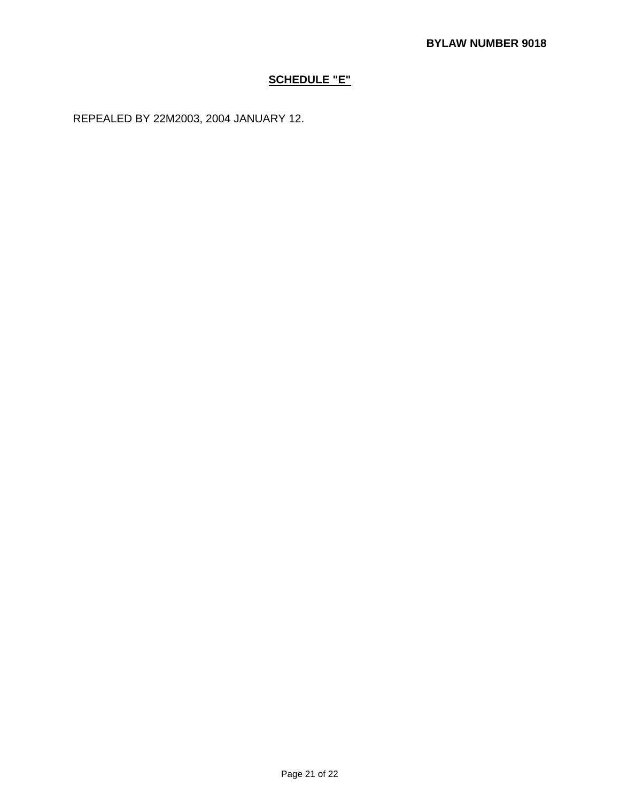## **SCHEDULE "E"**

REPEALED BY 22M2003, 2004 JANUARY 12.